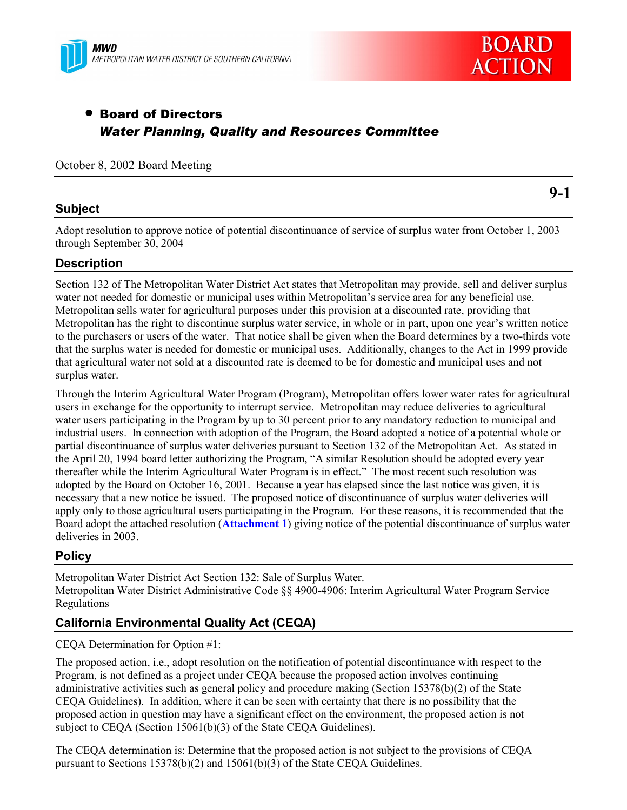



# • Board of Directors *Water Planning, Quality and Resources Committee*

### October 8, 2002 Board Meeting

### **Subject**

**9-1**

Adopt resolution to approve notice of potential discontinuance of service of surplus water from October 1, 2003 through September 30, 2004

# **Description**

Section 132 of The Metropolitan Water District Act states that Metropolitan may provide, sell and deliver surplus water not needed for domestic or municipal uses within Metropolitan's service area for any beneficial use. Metropolitan sells water for agricultural purposes under this provision at a discounted rate, providing that Metropolitan has the right to discontinue surplus water service, in whole or in part, upon one year's written notice to the purchasers or users of the water. That notice shall be given when the Board determines by a two-thirds vote that the surplus water is needed for domestic or municipal uses. Additionally, changes to the Act in 1999 provide that agricultural water not sold at a discounted rate is deemed to be for domestic and municipal uses and not surplus water.

Through the Interim Agricultural Water Program (Program), Metropolitan offers lower water rates for agricultural users in exchange for the opportunity to interrupt service. Metropolitan may reduce deliveries to agricultural water users participating in the Program by up to 30 percent prior to any mandatory reduction to municipal and industrial users. In connection with adoption of the Program, the Board adopted a notice of a potential whole or partial discontinuance of surplus water deliveries pursuant to Section 132 of the Metropolitan Act. As stated in the April 20, 1994 board letter authorizing the Program, "A similar Resolution should be adopted every year thereafter while the Interim Agricultural Water Program is in effect." The most recent such resolution was adopted by the Board on October 16, 2001. Because a year has elapsed since the last notice was given, it is necessary that a new notice be issued. The proposed notice of discontinuance of surplus water deliveries will apply only to those agricultural users participating in the Program. For these reasons, it is recommended that the Board adopt the attached resolution (**Attachment 1**) giving notice of the potential discontinuance of surplus water deliveries in 2003.

### **Policy**

Metropolitan Water District Act Section 132: Sale of Surplus Water. Metropolitan Water District Administrative Code §§ 4900-4906: Interim Agricultural Water Program Service Regulations

# **California Environmental Quality Act (CEQA)**

### CEQA Determination for Option #1:

The proposed action, i.e., adopt resolution on the notification of potential discontinuance with respect to the Program, is not defined as a project under CEQA because the proposed action involves continuing administrative activities such as general policy and procedure making (Section 15378(b)(2) of the State CEQA Guidelines). In addition, where it can be seen with certainty that there is no possibility that the proposed action in question may have a significant effect on the environment, the proposed action is not subject to CEQA (Section 15061(b)(3) of the State CEQA Guidelines).

The CEQA determination is: Determine that the proposed action is not subject to the provisions of CEQA pursuant to Sections 15378(b)(2) and 15061(b)(3) of the State CEQA Guidelines.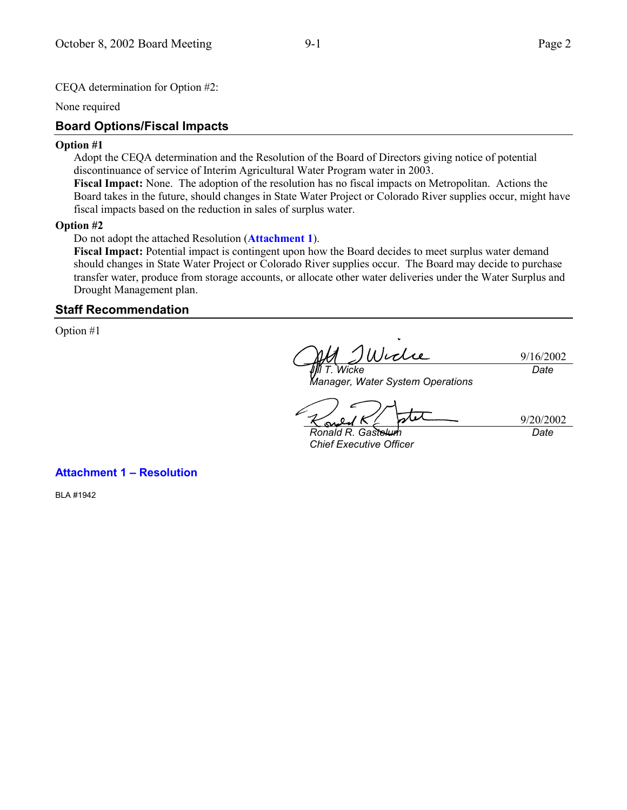None required

# **Board Options/Fiscal Impacts**

#### **Option #1**

Adopt the CEQA determination and the Resolution of the Board of Directors giving notice of potential discontinuance of service of Interim Agricultural Water Program water in 2003.

**Fiscal Impact:** None. The adoption of the resolution has no fiscal impacts on Metropolitan. Actions the Board takes in the future, should changes in State Water Project or Colorado River supplies occur, might have fiscal impacts based on the reduction in sales of surplus water.

#### **Option #2**

Do not adopt the attached Resolution (**Attachment 1**).

**Fiscal Impact:** Potential impact is contingent upon how the Board decides to meet surplus water demand should changes in State Water Project or Colorado River supplies occur. The Board may decide to purchase transfer water, produce from storage accounts, or allocate other water deliveries under the Water Surplus and Drought Management plan.

## **Staff Recommendation**

Option #1

Wicle 9/16/2002 *Date Jill T. Wicke*

*Manager, Water System Operations*

9/20/2002

*Date*

*Ronald R. Gastelum Chief Executive Officer*

**Attachment 1 - Resolution** 

BLA #1942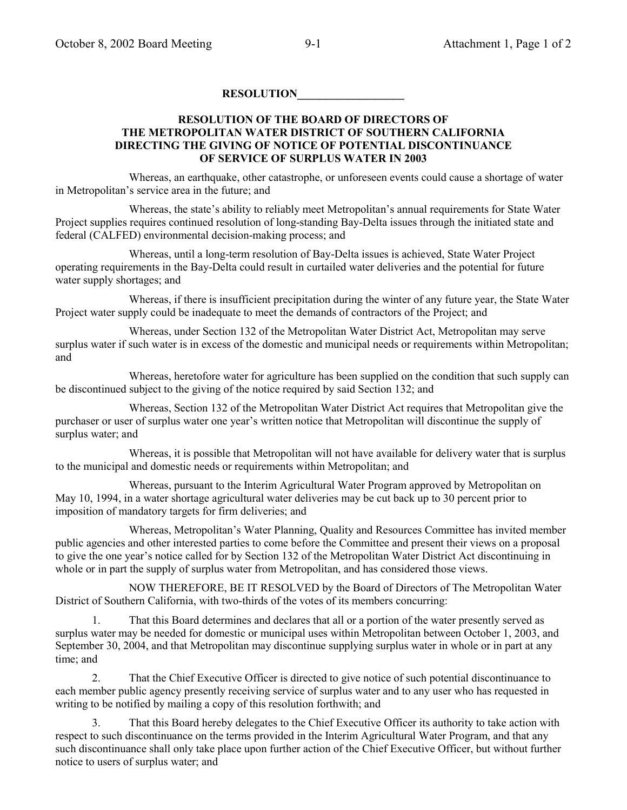### **RESOLUTION\_\_\_\_\_\_\_\_\_\_\_\_\_\_\_\_\_\_\_**

### **RESOLUTION OF THE BOARD OF DIRECTORS OF THE METROPOLITAN WATER DISTRICT OF SOUTHERN CALIFORNIA DIRECTING THE GIVING OF NOTICE OF POTENTIAL DISCONTINUANCE OF SERVICE OF SURPLUS WATER IN 2003**

Whereas, an earthquake, other catastrophe, or unforeseen events could cause a shortage of water in Metropolitan's service area in the future; and

Whereas, the state's ability to reliably meet Metropolitan's annual requirements for State Water Project supplies requires continued resolution of long-standing Bay-Delta issues through the initiated state and federal (CALFED) environmental decision-making process; and

Whereas, until a long-term resolution of Bay-Delta issues is achieved, State Water Project operating requirements in the Bay-Delta could result in curtailed water deliveries and the potential for future water supply shortages; and

Whereas, if there is insufficient precipitation during the winter of any future year, the State Water Project water supply could be inadequate to meet the demands of contractors of the Project; and

Whereas, under Section 132 of the Metropolitan Water District Act, Metropolitan may serve surplus water if such water is in excess of the domestic and municipal needs or requirements within Metropolitan; and

Whereas, heretofore water for agriculture has been supplied on the condition that such supply can be discontinued subject to the giving of the notice required by said Section 132; and

Whereas, Section 132 of the Metropolitan Water District Act requires that Metropolitan give the purchaser or user of surplus water one yearís written notice that Metropolitan will discontinue the supply of surplus water; and

Whereas, it is possible that Metropolitan will not have available for delivery water that is surplus to the municipal and domestic needs or requirements within Metropolitan; and

Whereas, pursuant to the Interim Agricultural Water Program approved by Metropolitan on May 10, 1994, in a water shortage agricultural water deliveries may be cut back up to 30 percent prior to imposition of mandatory targets for firm deliveries; and

Whereas, Metropolitanís Water Planning, Quality and Resources Committee has invited member public agencies and other interested parties to come before the Committee and present their views on a proposal to give the one yearís notice called for by Section 132 of the Metropolitan Water District Act discontinuing in whole or in part the supply of surplus water from Metropolitan, and has considered those views.

NOW THEREFORE, BE IT RESOLVED by the Board of Directors of The Metropolitan Water District of Southern California, with two-thirds of the votes of its members concurring:

1. That this Board determines and declares that all or a portion of the water presently served as surplus water may be needed for domestic or municipal uses within Metropolitan between October 1, 2003, and September 30, 2004, and that Metropolitan may discontinue supplying surplus water in whole or in part at any time; and

2. That the Chief Executive Officer is directed to give notice of such potential discontinuance to each member public agency presently receiving service of surplus water and to any user who has requested in writing to be notified by mailing a copy of this resolution forthwith; and

3. That this Board hereby delegates to the Chief Executive Officer its authority to take action with respect to such discontinuance on the terms provided in the Interim Agricultural Water Program, and that any such discontinuance shall only take place upon further action of the Chief Executive Officer, but without further notice to users of surplus water; and